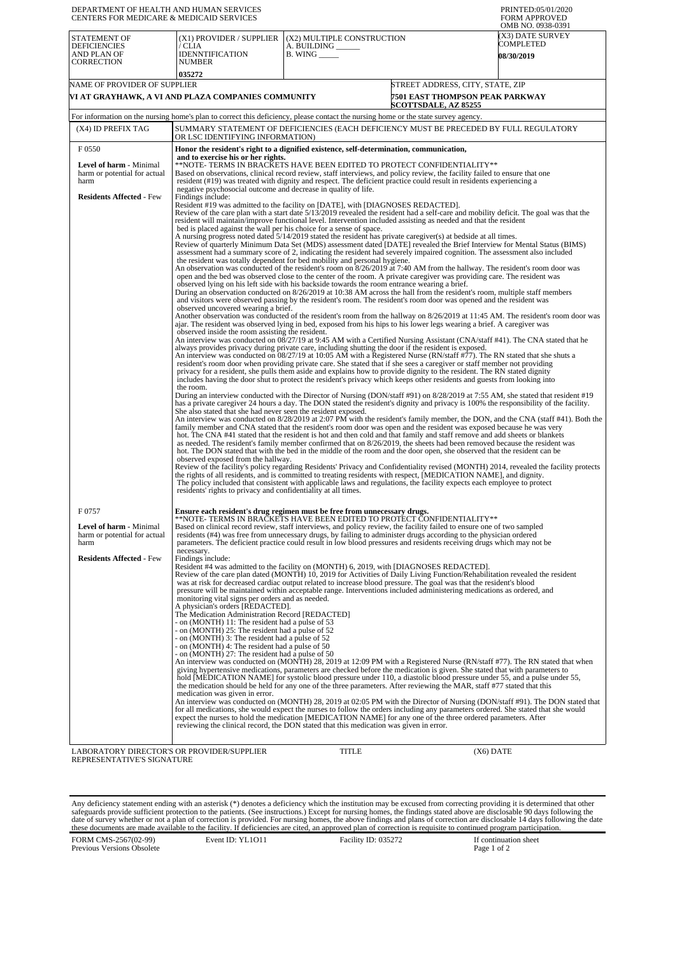| DEPARTMENT OF HEALTH AND HUMAN SERVICES<br><b>CENTERS FOR MEDICARE &amp; MEDICAID SERVICES</b>          | PRINTED:05/01/2020<br><b>FORM APPROVED</b><br>OMB NO. 0938-0391                                                                                                                                                                                                                                                                                                                                                                                                                                                                                                                                                                                                                                                                                                                                                                                                                                                                                                                                                                                                                                                                                                                                                                                                                                                                                                                                                                                                                                                                                                                                                                                                                                                                                                                                                                                                                                                                                                                                                                                                                                                                                                                                                                                                                                                                                                                                                                                                                                                                                                                                                                                                                                                                                                                                                                                                                                                                                                                                                                                                                                                                                                                                                                                                                                                                                                                                                                                                                                                                                                                                                                                                                                                                                                                                                                                                                                                                                                                                                                                                                                                                                  |                                                                        |                                                                     |                                                    |  |  |
|---------------------------------------------------------------------------------------------------------|--------------------------------------------------------------------------------------------------------------------------------------------------------------------------------------------------------------------------------------------------------------------------------------------------------------------------------------------------------------------------------------------------------------------------------------------------------------------------------------------------------------------------------------------------------------------------------------------------------------------------------------------------------------------------------------------------------------------------------------------------------------------------------------------------------------------------------------------------------------------------------------------------------------------------------------------------------------------------------------------------------------------------------------------------------------------------------------------------------------------------------------------------------------------------------------------------------------------------------------------------------------------------------------------------------------------------------------------------------------------------------------------------------------------------------------------------------------------------------------------------------------------------------------------------------------------------------------------------------------------------------------------------------------------------------------------------------------------------------------------------------------------------------------------------------------------------------------------------------------------------------------------------------------------------------------------------------------------------------------------------------------------------------------------------------------------------------------------------------------------------------------------------------------------------------------------------------------------------------------------------------------------------------------------------------------------------------------------------------------------------------------------------------------------------------------------------------------------------------------------------------------------------------------------------------------------------------------------------------------------------------------------------------------------------------------------------------------------------------------------------------------------------------------------------------------------------------------------------------------------------------------------------------------------------------------------------------------------------------------------------------------------------------------------------------------------------------------------------------------------------------------------------------------------------------------------------------------------------------------------------------------------------------------------------------------------------------------------------------------------------------------------------------------------------------------------------------------------------------------------------------------------------------------------------------------------------------------------------------------------------------------------------------------------------------------------------------------------------------------------------------------------------------------------------------------------------------------------------------------------------------------------------------------------------------------------------------------------------------------------------------------------------------------------------------------------------------------------------------------------------------------------------|------------------------------------------------------------------------|---------------------------------------------------------------------|----------------------------------------------------|--|--|
| STATEMENT OF<br><b>DEFICIENCIES</b><br>AND PLAN OF<br><b>CORRECTION</b>                                 | (X1) PROVIDER / SUPPLIER<br>/ CLIA<br>IDENNTIFICATION<br><b>NUMBER</b>                                                                                                                                                                                                                                                                                                                                                                                                                                                                                                                                                                                                                                                                                                                                                                                                                                                                                                                                                                                                                                                                                                                                                                                                                                                                                                                                                                                                                                                                                                                                                                                                                                                                                                                                                                                                                                                                                                                                                                                                                                                                                                                                                                                                                                                                                                                                                                                                                                                                                                                                                                                                                                                                                                                                                                                                                                                                                                                                                                                                                                                                                                                                                                                                                                                                                                                                                                                                                                                                                                                                                                                                                                                                                                                                                                                                                                                                                                                                                                                                                                                                           | (X2) MULTIPLE CONSTRUCTION<br>A. BUILDING<br>$B.$ WING $\_\_\_\_\_\_\$ |                                                                     | (X3) DATE SURVEY<br>COMPLETED<br><b>08/30/2019</b> |  |  |
| NAME OF PROVIDER OF SUPPLIER                                                                            | 035272<br>VI AT GRAYHAWK, A VI AND PLAZA COMPANIES COMMUNITY                                                                                                                                                                                                                                                                                                                                                                                                                                                                                                                                                                                                                                                                                                                                                                                                                                                                                                                                                                                                                                                                                                                                                                                                                                                                                                                                                                                                                                                                                                                                                                                                                                                                                                                                                                                                                                                                                                                                                                                                                                                                                                                                                                                                                                                                                                                                                                                                                                                                                                                                                                                                                                                                                                                                                                                                                                                                                                                                                                                                                                                                                                                                                                                                                                                                                                                                                                                                                                                                                                                                                                                                                                                                                                                                                                                                                                                                                                                                                                                                                                                                                     |                                                                        | STREET ADDRESS, CITY, STATE, ZIP<br>7501 EAST THOMPSON PEAK PARKWAY |                                                    |  |  |
|                                                                                                         |                                                                                                                                                                                                                                                                                                                                                                                                                                                                                                                                                                                                                                                                                                                                                                                                                                                                                                                                                                                                                                                                                                                                                                                                                                                                                                                                                                                                                                                                                                                                                                                                                                                                                                                                                                                                                                                                                                                                                                                                                                                                                                                                                                                                                                                                                                                                                                                                                                                                                                                                                                                                                                                                                                                                                                                                                                                                                                                                                                                                                                                                                                                                                                                                                                                                                                                                                                                                                                                                                                                                                                                                                                                                                                                                                                                                                                                                                                                                                                                                                                                                                                                                                  |                                                                        | <b>SCOTTSDALE, AZ 85255</b>                                         |                                                    |  |  |
| (X4) ID PREFIX TAG                                                                                      | For information on the nursing home's plan to correct this deficiency, please contact the nursing home or the state survey agency.<br>SUMMARY STATEMENT OF DEFICIENCIES (EACH DEFICIENCY MUST BE PRECEDED BY FULL REGULATORY                                                                                                                                                                                                                                                                                                                                                                                                                                                                                                                                                                                                                                                                                                                                                                                                                                                                                                                                                                                                                                                                                                                                                                                                                                                                                                                                                                                                                                                                                                                                                                                                                                                                                                                                                                                                                                                                                                                                                                                                                                                                                                                                                                                                                                                                                                                                                                                                                                                                                                                                                                                                                                                                                                                                                                                                                                                                                                                                                                                                                                                                                                                                                                                                                                                                                                                                                                                                                                                                                                                                                                                                                                                                                                                                                                                                                                                                                                                     |                                                                        |                                                                     |                                                    |  |  |
| F 0550                                                                                                  | OR LSC IDENTIFYING INFORMATION)                                                                                                                                                                                                                                                                                                                                                                                                                                                                                                                                                                                                                                                                                                                                                                                                                                                                                                                                                                                                                                                                                                                                                                                                                                                                                                                                                                                                                                                                                                                                                                                                                                                                                                                                                                                                                                                                                                                                                                                                                                                                                                                                                                                                                                                                                                                                                                                                                                                                                                                                                                                                                                                                                                                                                                                                                                                                                                                                                                                                                                                                                                                                                                                                                                                                                                                                                                                                                                                                                                                                                                                                                                                                                                                                                                                                                                                                                                                                                                                                                                                                                                                  |                                                                        |                                                                     |                                                    |  |  |
|                                                                                                         | Honor the resident's right to a dignified existence, self-determination, communication,<br>and to exercise his or her rights.                                                                                                                                                                                                                                                                                                                                                                                                                                                                                                                                                                                                                                                                                                                                                                                                                                                                                                                                                                                                                                                                                                                                                                                                                                                                                                                                                                                                                                                                                                                                                                                                                                                                                                                                                                                                                                                                                                                                                                                                                                                                                                                                                                                                                                                                                                                                                                                                                                                                                                                                                                                                                                                                                                                                                                                                                                                                                                                                                                                                                                                                                                                                                                                                                                                                                                                                                                                                                                                                                                                                                                                                                                                                                                                                                                                                                                                                                                                                                                                                                    |                                                                        |                                                                     |                                                    |  |  |
| Level of harm - Minimal<br>harm or potential for actual<br>harm                                         | **NOTE- TERMS IN BRACKETS HAVE BEEN EDITED TO PROTECT CONFIDENTIALITY**<br>Based on observations, clinical record review, staff interviews, and policy review, the facility failed to ensure that one<br>resident (#19) was treated with dignity and respect. The deficient practice could result in residents experiencing a<br>negative psychosocial outcome and decrease in quality of life.                                                                                                                                                                                                                                                                                                                                                                                                                                                                                                                                                                                                                                                                                                                                                                                                                                                                                                                                                                                                                                                                                                                                                                                                                                                                                                                                                                                                                                                                                                                                                                                                                                                                                                                                                                                                                                                                                                                                                                                                                                                                                                                                                                                                                                                                                                                                                                                                                                                                                                                                                                                                                                                                                                                                                                                                                                                                                                                                                                                                                                                                                                                                                                                                                                                                                                                                                                                                                                                                                                                                                                                                                                                                                                                                                  |                                                                        |                                                                     |                                                    |  |  |
| <b>Residents Affected - Few</b>                                                                         | Findings include:<br>Resident #19 was admitted to the facility on [DATE], with [DIAGNOSES REDACTED].<br>Review of the care plan with a start date 5/13/2019 revealed the resident had a self-care and mobility deficit. The goal was that the<br>resident will maintain/improve functional level. Intervention included assisting as needed and that the resident<br>bed is placed against the wall per his choice for a sense of space.<br>A nursing progress noted dated 5/14/2019 stated the resident has private caregiver(s) at bedside at all times.<br>Review of quarterly Minimum Data Set (MDS) assessment dated [DATE] revealed the Brief Interview for Mental Status (BIMS)<br>assessment had a summary score of 2, indicating the resident had severely impaired cognition. The assessment also included<br>the resident was totally dependent for bed mobility and personal hygiene.<br>An observation was conducted of the resident's room on 8/26/2019 at 7:40 AM from the hallway. The resident's room door was<br>open and the bed was observed close to the center of the room. A private caregiver was providing care. The resident was<br>observed lying on his left side with his backside towards the room entrance wearing a brief.<br>During an observation conducted on 8/26/2019 at 10:38 AM across the hall from the resident's room, multiple staff members<br>and visitors were observed passing by the resident's room. The resident's room door was opened and the resident was<br>observed uncovered wearing a brief.<br>Another observation was conducted of the resident's room from the hallway on 8/26/2019 at 11:45 AM. The resident's room door was<br>ajar. The resident was observed lying in bed, exposed from his hips to his lower legs wearing a brief. A caregiver was<br>observed inside the room assisting the resident.<br>An interview was conducted on 08/27/19 at 9:45 AM with a Certified Nursing Assistant (CNA/staff #41). The CNA stated that he<br>always provides privacy during private care, including shutting the door if the resident is exposed.<br>An interview was conducted on 08/27/19 at 10:05 AM with a Registered Nurse (RN/staff #77). The RN stated that she shuts a<br>resident's room door when providing private care. She stated that if she sees a caregiver or staff member not providing<br>privacy for a resident, she pulls them aside and explains how to provide dignity to the resident. The RN stated dignity<br>includes having the door shut to protect the resident's privacy which keeps other residents and guests from looking into<br>the room.<br>During an interview conducted with the Director of Nursing (DON/staff #91) on 8/28/2019 at 7:55 AM, she stated that resident #19<br>has a private caregiver 24 hours a day. The DON stated the resident's dignity and privacy is 100% the responsibility of the facility.<br>She also stated that she had never seen the resident exposed.<br>An interview was conducted on 8/28/2019 at 2:07 PM with the resident's family member, the DON, and the CNA (staff #41). Both the<br>family member and CNA stated that the resident's room door was open and the resident was exposed because he was very<br>hot. The CNA #41 stated that the resident is hot and then cold and that family and staff remove and add sheets or blankets<br>as needed. The resident's family member confirmed that on $8/26/2019$ , the sheets had been removed because the resident was<br>hot. The DON stated that with the bed in the middle of the room and the door open, she observed that the resident can be<br>observed exposed from the hallway.<br>Review of the facility's policy regarding Residents' Privacy and Confidentiality revised (MONTH) 2014, revealed the facility protects<br>the rights of all residents, and is committed to treating residents with respect, [MEDICATION NAME], and dignity.<br>The policy included that consistent with applicable laws and regulations, the facility expects each employee to protect<br>residents' rights to privacy and confidentiality at all times. |                                                                        |                                                                     |                                                    |  |  |
| F 0757<br><b>Level of harm - Minimal</b>                                                                | Ensure each resident's drug regimen must be free from unnecessary drugs.<br>**NOTE- TERMS IN BRACKETS HAVE BEEN EDITED TO PROTECT CONFIDENTIALITY**<br>Based on clinical record review, staff interviews, and policy review, the facility failed to ensure one of two sampled                                                                                                                                                                                                                                                                                                                                                                                                                                                                                                                                                                                                                                                                                                                                                                                                                                                                                                                                                                                                                                                                                                                                                                                                                                                                                                                                                                                                                                                                                                                                                                                                                                                                                                                                                                                                                                                                                                                                                                                                                                                                                                                                                                                                                                                                                                                                                                                                                                                                                                                                                                                                                                                                                                                                                                                                                                                                                                                                                                                                                                                                                                                                                                                                                                                                                                                                                                                                                                                                                                                                                                                                                                                                                                                                                                                                                                                                    |                                                                        |                                                                     |                                                    |  |  |
| harm or potential for actual<br>harm                                                                    | residents (#4) was free from unnecessary drugs, by failing to administer drugs according to the physician ordered<br>parameters. The deficient practice could result in low blood pressures and residents receiving drugs which may not be                                                                                                                                                                                                                                                                                                                                                                                                                                                                                                                                                                                                                                                                                                                                                                                                                                                                                                                                                                                                                                                                                                                                                                                                                                                                                                                                                                                                                                                                                                                                                                                                                                                                                                                                                                                                                                                                                                                                                                                                                                                                                                                                                                                                                                                                                                                                                                                                                                                                                                                                                                                                                                                                                                                                                                                                                                                                                                                                                                                                                                                                                                                                                                                                                                                                                                                                                                                                                                                                                                                                                                                                                                                                                                                                                                                                                                                                                                       |                                                                        |                                                                     |                                                    |  |  |
| <b>Residents Affected - Few</b>                                                                         | necessary.<br>Findings include:<br>Resident #4 was admitted to the facility on (MONTH) 6, 2019, with [DIAGNOSES REDACTED].<br>Review of the care plan dated (MONTH) 10, 2019 for Activities of Daily Living Function/Rehabilitation revealed the resident<br>was at risk for decreased cardiac output related to increase blood pressure. The goal was that the resident's blood<br>pressure will be maintained within acceptable range. Interventions included administering medications as ordered, and<br>monitoring vital signs per orders and as needed.<br>A physician's orders [REDACTED].<br>The Medication Administration Record [REDACTED]<br>- on (MONTH) 11: The resident had a pulse of 53<br>- on (MONTH) 25: The resident had a pulse of 52<br>- on (MONTH) 3: The resident had a pulse of 52<br>- on (MONTH) 4: The resident had a pulse of 50<br>- on (MONTH) 27: The resident had a pulse of 50<br>An interview was conducted on (MONTH) 28, 2019 at 12:09 PM with a Registered Nurse (RN/staff #77). The RN stated that when<br>giving hypertensive medications, parameters are checked before the medication is given. She stated that with parameters to<br>hold [MEDICATION NAME] for systolic blood pressure under 110, a diastolic blood pressure under 55, and a pulse under 55,<br>the medication should be held for any one of the three parameters. After reviewing the MAR, staff #77 stated that this<br>medication was given in error.<br>An interview was conducted on (MONTH) 28, 2019 at 02:05 PM with the Director of Nursing (DON/staff #91). The DON stated that<br>for all medications, she would expect the nurses to follow the orders including any parameters ordered. She stated that she would<br>expect the nurses to hold the medication [MEDICATION NAME] for any one of the three ordered parameters. After<br>reviewing the clinical record, the DON stated that this medication was given in error.                                                                                                                                                                                                                                                                                                                                                                                                                                                                                                                                                                                                                                                                                                                                                                                                                                                                                                                                                                                                                                                                                                                                                                                                                                                                                                                                                                                                                                                                                                                                                                                                                                                                                                                                                                                                                                                                                                                                                                                                                                                                                                                                                                                            |                                                                        |                                                                     |                                                    |  |  |
| LABORATORY DIRECTOR'S OR PROVIDER/SUPPLIER<br><b>TITLE</b><br>$(X6)$ DATE<br>REPRESENTATIVE'S SIGNATURE |                                                                                                                                                                                                                                                                                                                                                                                                                                                                                                                                                                                                                                                                                                                                                                                                                                                                                                                                                                                                                                                                                                                                                                                                                                                                                                                                                                                                                                                                                                                                                                                                                                                                                                                                                                                                                                                                                                                                                                                                                                                                                                                                                                                                                                                                                                                                                                                                                                                                                                                                                                                                                                                                                                                                                                                                                                                                                                                                                                                                                                                                                                                                                                                                                                                                                                                                                                                                                                                                                                                                                                                                                                                                                                                                                                                                                                                                                                                                                                                                                                                                                                                                                  |                                                                        |                                                                     |                                                    |  |  |

Any deficiency statement ending with an asterisk (\*) denotes a deficiency which the institution may be excused from correcting providing it is determined that other safeguards provide sufficient protection to the patients.

FORM CMS-2567(02-99) Previous Versions Obsolete